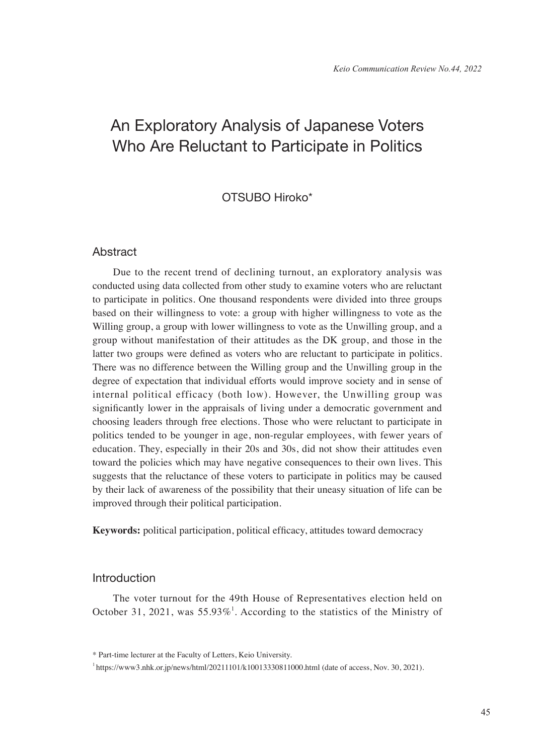# An Exploratory Analysis of Japanese Voters Who Are Reluctant to Participate in Politics

# OTSUBO Hiroko\*

## **Abstract**

Due to the recent trend of declining turnout, an exploratory analysis was conducted using data collected from other study to examine voters who are reluctant to participate in politics. One thousand respondents were divided into three groups based on their willingness to vote: a group with higher willingness to vote as the Willing group, a group with lower willingness to vote as the Unwilling group, and a group without manifestation of their attitudes as the DK group, and those in the latter two groups were defined as voters who are reluctant to participate in politics. There was no difference between the Willing group and the Unwilling group in the degree of expectation that individual efforts would improve society and in sense of internal political efficacy (both low). However, the Unwilling group was significantly lower in the appraisals of living under a democratic government and choosing leaders through free elections. Those who were reluctant to participate in politics tended to be younger in age, non-regular employees, with fewer years of education. They, especially in their 20s and 30s, did not show their attitudes even toward the policies which may have negative consequences to their own lives. This suggests that the reluctance of these voters to participate in politics may be caused by their lack of awareness of the possibility that their uneasy situation of life can be improved through their political participation.

**Keywords:** political participation, political efficacy, attitudes toward democracy

# Introduction

The voter turnout for the 49th House of Representatives election held on October 31, 2021, was 55.93%<sup>1</sup>. According to the statistics of the Ministry of

<sup>\*</sup> Part-time lecturer at the Faculty of Letters, Keio University.

<sup>&</sup>lt;sup>1</sup>https://www3.nhk.or.jp/news/html/20211101/k10013330811000.html (date of access, Nov. 30, 2021).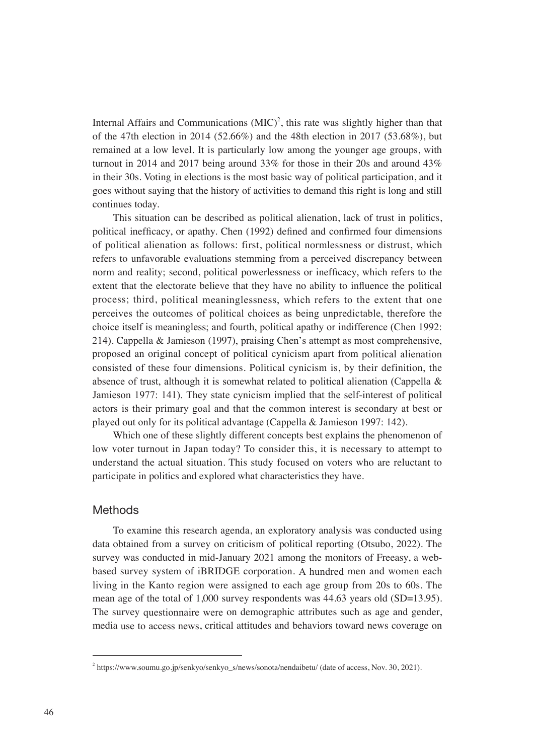Internal Affairs and Communications  $(MIC)^2$ , this rate was slightly higher than that of the 47th election in 2014 (52.66%) and the 48th election in 2017 (53.68%), but remained at a low level. It is particularly low among the younger age groups, with turnout in 2014 and 2017 being around 33% for those in their 20s and around 43% in their 30s. Voting in elections is the most basic way of political participation, and it goes without saying that the history of activities to demand this right is long and still continues today.

This situation can be described as political alienation, lack of trust in politics, political inefficacy, or apathy. Chen (1992) defined and confirmed four dimensions of political alienation as follows: first, political normlessness or distrust, which refers to unfavorable evaluations stemming from a perceived discrepancy between norm and reality; second, political powerlessness or inefficacy, which refers to the extent that the electorate believe that they have no ability to influence the political process; third, political meaninglessness, which refers to the extent that one perceives the outcomes of political choices as being unpredictable, therefore the choice itself is meaningless; and fourth, political apathy or indifference (Chen 1992: 214). Cappella & Jamieson (1997), praising Chen's attempt as most comprehensive, proposed an original concept of political cynicism apart from political alienation consisted of these four dimensions. Political cynicism is, by their definition, the absence of trust, although it is somewhat related to political alienation (Cappella  $\&$ Jamieson 1977: 141). They state cynicism implied that the self-interest of political actors is their primary goal and that the common interest is secondary at best or played out only for its political advantage (Cappella & Jamieson 1997: 142).

Which one of these slightly different concepts best explains the phenomenon of low voter turnout in Japan today? To consider this, it is necessary to attempt to understand the actual situation. This study focused on voters who are reluctant to participate in politics and explored what characteristics they have.

# **Methods**

To examine this research agenda, an exploratory analysis was conducted using data obtained from a survey on criticism of political reporting (Otsubo, 2022). The survey was conducted in mid-January 2021 among the monitors of Freeasy, a webbased survey system of iBRIDGE corporation. A hundred men and women each living in the Kanto region were assigned to each age group from 20s to 60s. The mean age of the total of 1,000 survey respondents was 44.63 years old (SD=13.95). The survey questionnaire were on demographic attributes such as age and gender, media use to access news, critical attitudes and behaviors toward news coverage on

<sup>&</sup>lt;sup>2</sup> https://www.soumu.go.jp/senkyo/senkyo\_s/news/sonota/nendaibetu/ (date of access, Nov. 30, 2021).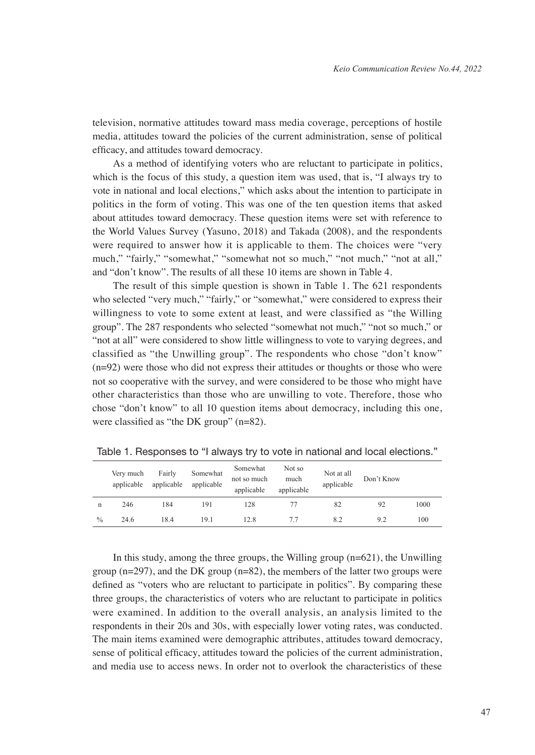television, normative attitudes toward mass media coverage, perceptions of hostile media, attitudes toward the policies of the current administration, sense of political efficacy, and attitudes toward democracy.

As a method of identifying voters who are reluctant to participate in politics, which is the focus of this study, a question item was used, that is, "I always try to vote in national and local elections," which asks about the intention to participate in politics in the form of voting. This was one of the ten question items that asked about attitudes toward democracy. These question items were set with reference to the World Values Survey (Yasuno, 2018) and Takada (2008), and the respondents were required to answer how it is applicable to them. The choices were "very much," "fairly," "somewhat," "somewhat not so much," "not much," "not at all," and "don't know". The results of all these 10 items are shown in Table 4.

The result of this simple question is shown in Table 1. The 621 respondents who selected "very much," "fairly," or "somewhat," were considered to express their willingness to vote to some extent at least, and were classified as "the Willing group". The 287 respondents who selected "somewhat not much," "not so much," or "not at all" were considered to show little willingness to vote to varying degrees, and classified as "the Unwilling group". The respondents who chose "don't know" (n=92) were those who did not express their attitudes or thoughts or those who were not so cooperative with the survey, and were considered to be those who might have other characteristics than those who are unwilling to vote. Therefore, those who chose "don't know" to all 10 question items about democracy, including this one, were classified as "the DK group" (n=82).

|               | Very much<br>applicable | Fairly<br>applicable | Somewhat<br>applicable | Somewhat<br>not so much<br>applicable | Not so<br>much<br>applicable | Not at all<br>applicable | Don't Know |      |
|---------------|-------------------------|----------------------|------------------------|---------------------------------------|------------------------------|--------------------------|------------|------|
| n             | 246                     | 184                  | 191                    | 128                                   |                              | 82                       | 92         | 1000 |
| $\frac{0}{0}$ | 24.6                    | 18.4                 | 19.1                   | 12.8                                  |                              | 8.2                      | 9.2        | 100  |

Table 1. Responses to "I always try to vote in national and local elections."

In this study, among the three groups, the Willing group (n=621), the Unwilling group (n=297), and the DK group (n=82), the members of the latter two groups were defined as "voters who are reluctant to participate in politics". By comparing these three groups, the characteristics of voters who are reluctant to participate in politics were examined. In addition to the overall analysis, an analysis limited to the respondents in their 20s and 30s, with especially lower voting rates, was conducted. The main items examined were demographic attributes, attitudes toward democracy, sense of political efficacy, attitudes toward the policies of the current administration, and media use to access news. In order not to overlook the characteristics of these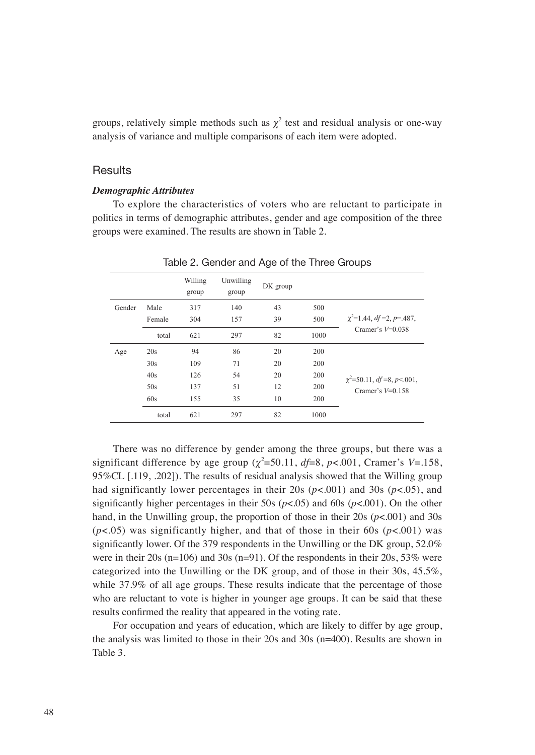groups, relatively simple methods such as  $\chi^2$  test and residual analysis or one-way analysis of variance and multiple comparisons of each item were adopted.

#### **Results**

#### *Demographic Attributes*

To explore the characteristics of voters who are reluctant to participate in politics in terms of demographic attributes, gender and age composition of the three groups were examined. The results are shown in Table 2.

|        |        | Willing<br>group | Unwilling<br>group | DK group |      |                                 |  |  |  |  |
|--------|--------|------------------|--------------------|----------|------|---------------------------------|--|--|--|--|
| Gender | Male   | 317              | 140                | 43       | 500  |                                 |  |  |  |  |
|        | Female | 304              | 157                | 39       | 500  | $\chi^2$ =1.44, df =2, p=.487,  |  |  |  |  |
|        | total  | 621              | 297                | 82       | 1000 | Cramer's $V=0.038$              |  |  |  |  |
| Age    | 20s    | 94               | 86                 | 20       | 200  |                                 |  |  |  |  |
|        | 30s    | 109              | 71                 | 20       | 200  |                                 |  |  |  |  |
|        | 40s    | 126              | 54                 | 20       | 200  | $\chi^2$ =50.11, df =8, p<.001, |  |  |  |  |
|        | 50s    | 137              | 51                 | 12       | 200  | Cramer's $V=0.158$              |  |  |  |  |
|        | 60s    | 155              | 35                 | 10       |      |                                 |  |  |  |  |
|        | total  | 621              | 297                | 82       | 1000 |                                 |  |  |  |  |

Table 2. Gender and Age of the Three Groups

There was no difference by gender among the three groups, but there was a significant difference by age group  $(\chi^2 = 50.11, df = 8, p < .001, Cramer's V = .158,$ 95%CL [.119, .202]). The results of residual analysis showed that the Willing group had significantly lower percentages in their 20s (*p*<.001) and 30s (*p*<.05), and significantly higher percentages in their 50s ( $p < .05$ ) and 60s ( $p < .001$ ). On the other hand, in the Unwilling group, the proportion of those in their 20s (*p*<.001) and 30s  $(p<.05)$  was significantly higher, and that of those in their 60s  $(p<.001)$  was significantly lower. Of the 379 respondents in the Unwilling or the DK group, 52.0% were in their 20s (n=106) and 30s (n=91). Of the respondents in their 20s, 53% were categorized into the Unwilling or the DK group, and of those in their 30s, 45.5%, while 37.9% of all age groups. These results indicate that the percentage of those who are reluctant to vote is higher in younger age groups. It can be said that these results confirmed the reality that appeared in the voting rate.

For occupation and years of education, which are likely to differ by age group, the analysis was limited to those in their 20s and 30s (n=400). Results are shown in Table 3.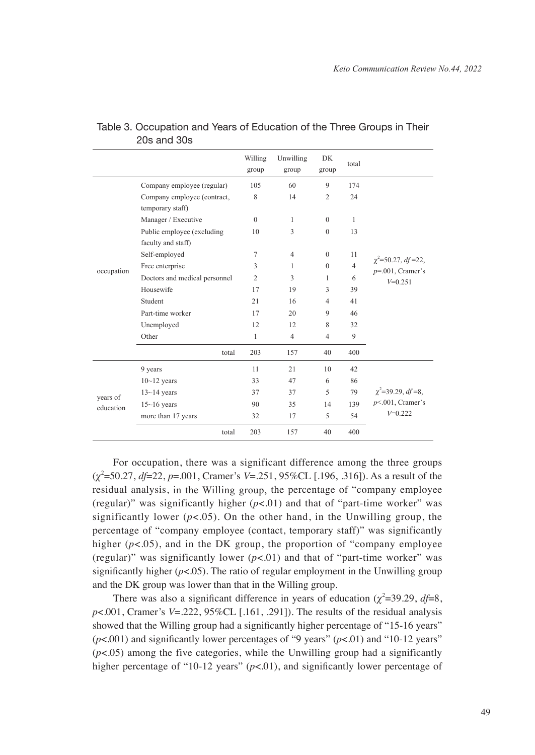|            |                                                  | Willing<br>group | Unwilling<br>group | DK<br>group    | total          |                                                |
|------------|--------------------------------------------------|------------------|--------------------|----------------|----------------|------------------------------------------------|
|            | Company employee (regular)                       | 105              | 60                 | 9              | 174            |                                                |
|            | Company employee (contract,<br>temporary staff)  | 8                | 14                 | $\overline{c}$ | 24             |                                                |
|            | Manager / Executive                              | $\theta$         | $\mathbf{1}$       | $\mathbf{0}$   | $\mathbf{1}$   |                                                |
|            | Public employee (excluding<br>faculty and staff) | 10               | 3                  | $\theta$       | 13             |                                                |
|            | Self-employed                                    | 7                | $\overline{4}$     | $\Omega$       | 11             |                                                |
| occupation | Free enterprise                                  | 3                | 1                  | $\mathbf{0}$   | $\overline{4}$ | $\chi^2$ =50.27, df =22,<br>$p=001$ , Cramer's |
|            | Doctors and medical personnel                    | $\overline{2}$   | 3                  | 1              | 6              | $V=0.251$                                      |
|            | Housewife                                        | 17               | 19                 | 3              | 39             |                                                |
|            | Student                                          | 21               | 16                 | 4              | 41             |                                                |
|            | Part-time worker                                 | 17               | 20                 | 9              | 46             |                                                |
|            | Unemployed                                       | 12               | 12                 | 8              | 32             |                                                |
|            | Other                                            | $\mathbf{1}$     | $\overline{4}$     | $\overline{4}$ | 9              |                                                |
|            | total                                            | 203              | 157                | 40             | 400            |                                                |
|            | 9 years                                          | 11               | 21                 | 10             | 42             |                                                |
|            | $10 - 12$ years                                  | 33               | 47                 | 6              | 86             |                                                |
| vears of   | $13-14$ years                                    | 37               | 37                 | 5              | 79             | $\chi^2$ =39.29, df =8,                        |
| education  | $15 - 16$ years                                  | 90               | 35                 | 14             | 139            | $p<.001$ , Cramer's                            |
|            | more than 17 years                               | 32               | 17                 | 5              | 54             | $V=0.222$                                      |
|            | total                                            | 203              | 157                | 40             | 400            |                                                |

## Table 3. Occupation and Years of Education of the Three Groups in Their 20s and 30s

For occupation, there was a significant difference among the three groups (*χ*2 =50.27, *df*=22, *p*=.001, Cramer's *V*=.251, 95%CL [.196, .316]). As a result of the residual analysis, in the Willing group, the percentage of "company employee (regular)" was significantly higher  $(p<.01)$  and that of "part-time worker" was significantly lower  $(p<.05)$ . On the other hand, in the Unwilling group, the percentage of "company employee (contact, temporary staff)" was significantly higher  $(p<.05)$ , and in the DK group, the proportion of "company employee" (regular)" was significantly lower  $(p<.01)$  and that of "part-time worker" was significantly higher  $(p<.05)$ . The ratio of regular employment in the Unwilling group and the DK group was lower than that in the Willing group.

There was also a significant difference in years of education  $(\chi^2=39.29, df=8,$ *p*<.001, Cramer's *V*=.222, 95%CL [.161, .291]). The results of the residual analysis showed that the Willing group had a significantly higher percentage of "15-16 years"  $(p<.001)$  and significantly lower percentages of "9 years"  $(p<.01)$  and "10-12 years"  $(p<.05)$  among the five categories, while the Unwilling group had a significantly higher percentage of "10-12 years"  $(p<.01)$ , and significantly lower percentage of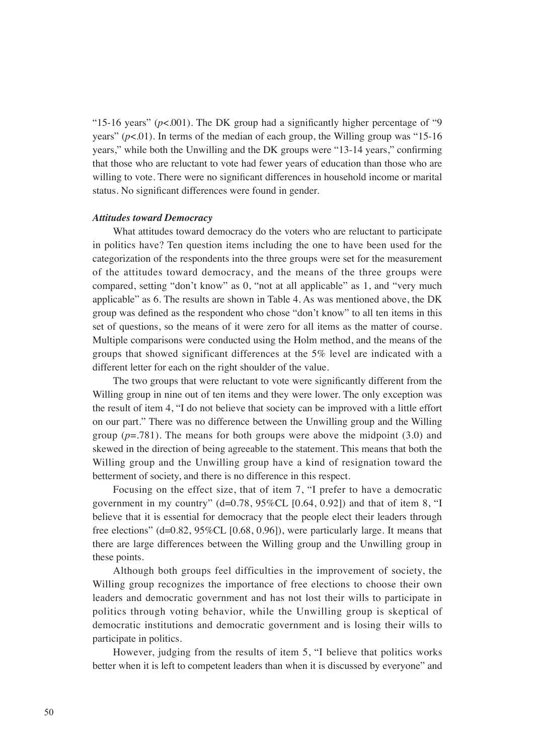"15-16 years"  $(p<.001)$ . The DK group had a significantly higher percentage of "9" years"  $(p<.01)$ . In terms of the median of each group, the Willing group was "15-16" years," while both the Unwilling and the DK groups were "13-14 years," confirming that those who are reluctant to vote had fewer years of education than those who are willing to vote. There were no significant differences in household income or marital status. No significant differences were found in gender.

#### *Attitudes toward Democracy*

What attitudes toward democracy do the voters who are reluctant to participate in politics have? Ten question items including the one to have been used for the categorization of the respondents into the three groups were set for the measurement of the attitudes toward democracy, and the means of the three groups were compared, setting "don't know" as 0, "not at all applicable" as 1, and "very much applicable" as 6. The results are shown in Table 4. As was mentioned above, the DK group was defined as the respondent who chose "don't know" to all ten items in this set of questions, so the means of it were zero for all items as the matter of course. Multiple comparisons were conducted using the Holm method, and the means of the groups that showed significant differences at the 5% level are indicated with a different letter for each on the right shoulder of the value.

The two groups that were reluctant to vote were significantly different from the Willing group in nine out of ten items and they were lower. The only exception was the result of item 4, "I do not believe that society can be improved with a little effort on our part." There was no difference between the Unwilling group and the Willing group  $(p=.781)$ . The means for both groups were above the midpoint  $(3.0)$  and skewed in the direction of being agreeable to the statement. This means that both the Willing group and the Unwilling group have a kind of resignation toward the betterment of society, and there is no difference in this respect.

Focusing on the effect size, that of item 7, "I prefer to have a democratic government in my country" ( $d=0.78$ ,  $95\%$ CL [0.64, 0.92]) and that of item 8, "I believe that it is essential for democracy that the people elect their leaders through free elections"  $(d=0.82, 95\% CL [0.68, 0.96])$ , were particularly large. It means that there are large differences between the Willing group and the Unwilling group in these points.

Although both groups feel difficulties in the improvement of society, the Willing group recognizes the importance of free elections to choose their own leaders and democratic government and has not lost their wills to participate in politics through voting behavior, while the Unwilling group is skeptical of democratic institutions and democratic government and is losing their wills to participate in politics.

However, judging from the results of item 5, "I believe that politics works better when it is left to competent leaders than when it is discussed by everyone" and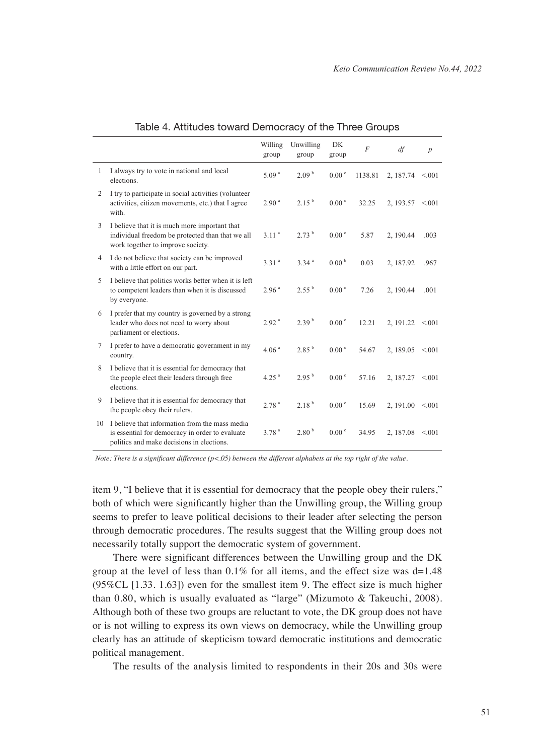|    |                                                                                                                                                | Willing<br>group    | Unwilling<br>group | DK<br>group       | $\overline{F}$ | df                     | $\boldsymbol{p}$ |
|----|------------------------------------------------------------------------------------------------------------------------------------------------|---------------------|--------------------|-------------------|----------------|------------------------|------------------|
| 1  | I always try to vote in national and local<br>elections.                                                                                       | 5.09 <sup>a</sup>   | 2.09 <sup>b</sup>  | 0.00 <sup>c</sup> | 1138.81        | 2, 187.74              | < 0.01           |
| 2  | I try to participate in social activities (volunteer<br>activities, citizen movements, etc.) that I agree<br>with.                             | 2.90 <sup>a</sup>   | $2.15^{b}$         | 0.00 <sup>c</sup> | 32.25          | 2.193.57               | < 0.01           |
| 3  | I believe that it is much more important that<br>individual freedom be protected than that we all<br>work together to improve society.         | 3.11 <sup>a</sup>   | 2.73 <sup>b</sup>  | 0.00 <sup>c</sup> | 5.87           | 2, 190.44              | .003             |
| 4  | I do not believe that society can be improved<br>with a little effort on our part.                                                             | 3.31 <sup>a</sup>   | 3.34 <sup>a</sup>  | 0.00 <sup>b</sup> | 0.03           | 2, 187.92              | .967             |
| 5  | I believe that politics works better when it is left<br>to competent leaders than when it is discussed<br>by everyone.                         | 2.96 <sup>a</sup>   | $2.55^{b}$         | $0.00^{\circ}$    | 7.26           | 2.190.44               | .001             |
| 6  | I prefer that my country is governed by a strong<br>leader who does not need to worry about<br>parliament or elections.                        | 2.92 <sup>a</sup>   | 2.39 <sup>b</sup>  | 0.00 <sup>c</sup> | 12.21          | 2, 191.22              | < 0.01           |
| 7  | I prefer to have a democratic government in my<br>country.                                                                                     | 4.06 <sup>a</sup>   | 2.85 <sup>b</sup>  | 0.00 <sup>c</sup> | 54.67          | 2, 189.05 $\leq 0.001$ |                  |
| 8  | I believe that it is essential for democracy that<br>the people elect their leaders through free<br>elections.                                 | $4.25$ <sup>a</sup> | $2.95^{b}$         | $0.00 \degree$    | 57.16          | 2, 187.27              | < 0.01           |
| 9  | I believe that it is essential for democracy that<br>the people obey their rulers.                                                             | 2.78 <sup>a</sup>   | 2.18 <sup>b</sup>  | 0.00 °            | 15.69          | $2, 191.00 \le 0.001$  |                  |
| 10 | I believe that information from the mass media<br>is essential for democracy in order to evaluate<br>politics and make decisions in elections. | 3.78 <sup>a</sup>   | 2.80 <sup>b</sup>  | 0.00 <sup>c</sup> | 34.95          | 2, 187.08 $\leq 0.001$ |                  |

## Table 4. Attitudes toward Democracy of the Three Groups

*Note: There is a significant difference (p<.05) between the different alphabets at the top right of the value.*

item 9, "I believe that it is essential for democracy that the people obey their rulers," both of which were significantly higher than the Unwilling group, the Willing group seems to prefer to leave political decisions to their leader after selecting the person through democratic procedures. The results suggest that the Willing group does not necessarily totally support the democratic system of government.

There were significant differences between the Unwilling group and the DK group at the level of less than  $0.1\%$  for all items, and the effect size was d=1.48 (95%CL [1.33. 1.63]) even for the smallest item 9. The effect size is much higher than 0.80, which is usually evaluated as "large" (Mizumoto & Takeuchi, 2008). Although both of these two groups are reluctant to vote, the DK group does not have or is not willing to express its own views on democracy, while the Unwilling group clearly has an attitude of skepticism toward democratic institutions and democratic political management.

The results of the analysis limited to respondents in their 20s and 30s were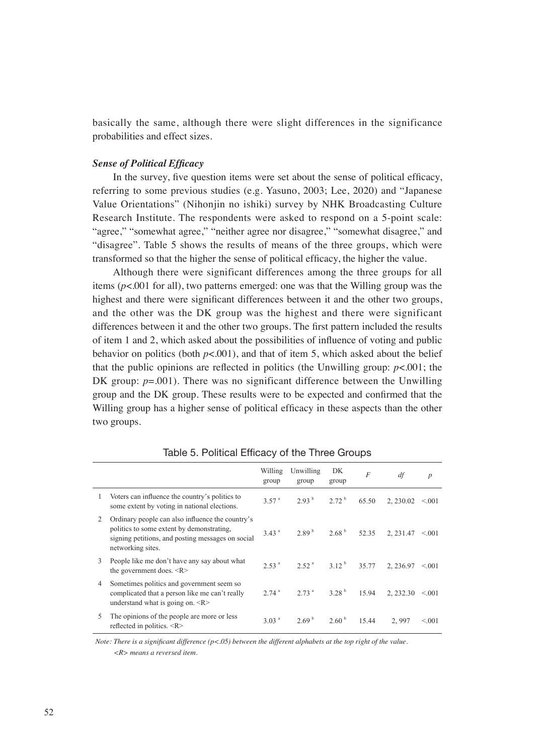basically the same, although there were slight differences in the significance probabilities and effect sizes.

#### *Sense of Political Efficacy*

In the survey, five question items were set about the sense of political efficacy, referring to some previous studies (e.g. Yasuno, 2003; Lee, 2020) and "Japanese Value Orientations" (Nihonjin no ishiki) survey by NHK Broadcasting Culture Research Institute. The respondents were asked to respond on a 5-point scale: "agree," "somewhat agree," "neither agree nor disagree," "somewhat disagree," and "disagree". Table 5 shows the results of means of the three groups, which were transformed so that the higher the sense of political efficacy, the higher the value.

Although there were significant differences among the three groups for all items (*p*<.001 for all), two patterns emerged: one was that the Willing group was the highest and there were significant differences between it and the other two groups, and the other was the DK group was the highest and there were significant differences between it and the other two groups. The first pattern included the results of item 1 and 2, which asked about the possibilities of influence of voting and public behavior on politics (both  $p<001$ ), and that of item 5, which asked about the belief that the public opinions are reflected in politics (the Unwilling group:  $p < .001$ ; the DK group:  $p=0.001$ ). There was no significant difference between the Unwilling group and the DK group. These results were to be expected and confirmed that the Willing group has a higher sense of political efficacy in these aspects than the other two groups.

|   |                                                                                                                                                                         | Willing<br>group    | Unwilling<br>group            | DK.<br>group      | $\overline{F}$ | df                    | $\boldsymbol{p}$ |
|---|-------------------------------------------------------------------------------------------------------------------------------------------------------------------------|---------------------|-------------------------------|-------------------|----------------|-----------------------|------------------|
| 1 | Voters can influence the country's politics to<br>some extent by voting in national elections.                                                                          | 3.57 <sup>a</sup>   | $2.93^{b}$ $2.72^{b}$         |                   | 65.50          | 2.230.02              | < 0.01           |
| 2 | Ordinary people can also influence the country's<br>politics to some extent by demonstrating,<br>signing petitions, and posting messages on social<br>networking sites. | 3.43 <sup>a</sup>   | 2.89 <sup>b</sup>             | 2.68 <sup>b</sup> | 52.35          | $2, 231.47 \le 0.001$ |                  |
| 3 | People like me don't have any say about what<br>the government does. <r></r>                                                                                            | 2.53 <sup>a</sup>   | $2.52^{a}$ $3.12^{b}$ $35.77$ |                   |                | 2.236.97              | < 0.01           |
| 4 | Sometimes politics and government seem so<br>complicated that a person like me can't really<br>understand what is going on. $\langle R \rangle$                         | $2.74$ <sup>a</sup> | $2.73a$ 3.28 <sup>b</sup>     |                   | 15.94          | 2, 232.30             | < 0.01           |
| 5 | The opinions of the people are more or less<br>reflected in politics. <r></r>                                                                                           | 3.03 <sup>a</sup>   | 2.69 <sup>b</sup>             | 2.60 <sup>b</sup> | 15.44          | 2.997                 | < 0.01           |

Table 5. Political Efficacy of the Three Groups

*Note: There is a significant difference (p<.05) between the different alphabets at the top right of the value. <R> means a reversed item.*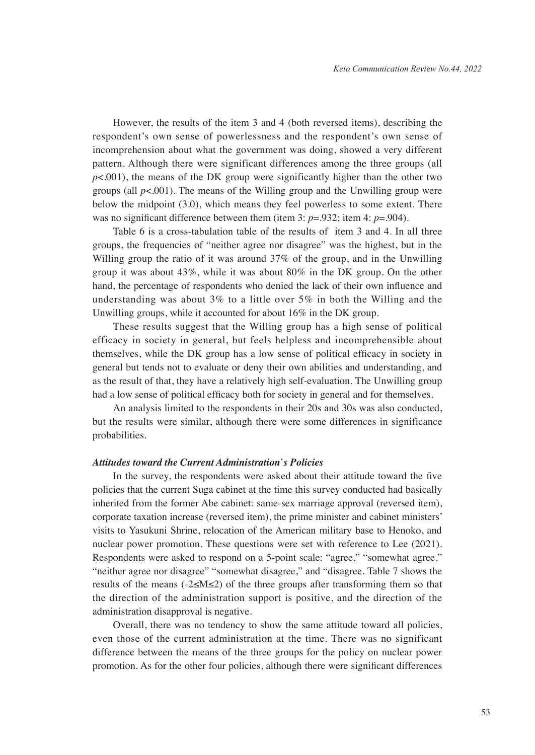However, the results of the item 3 and 4 (both reversed items), describing the respondent's own sense of powerlessness and the respondent's own sense of incomprehension about what the government was doing, showed a very different pattern. Although there were significant differences among the three groups (all  $p<.001$ ), the means of the DK group were significantly higher than the other two groups (all  $p<.001$ ). The means of the Willing group and the Unwilling group were below the midpoint (3.0), which means they feel powerless to some extent. There was no significant difference between them (item 3:  $p = .932$ ; item 4:  $p = .904$ ).

Table 6 is a cross-tabulation table of the results of item 3 and 4. In all three groups, the frequencies of "neither agree nor disagree" was the highest, but in the Willing group the ratio of it was around 37% of the group, and in the Unwilling group it was about 43%, while it was about 80% in the DK group. On the other hand, the percentage of respondents who denied the lack of their own influence and understanding was about  $3\%$  to a little over  $5\%$  in both the Willing and the Unwilling groups, while it accounted for about 16% in the DK group.

These results suggest that the Willing group has a high sense of political efficacy in society in general, but feels helpless and incomprehensible about themselves, while the DK group has a low sense of political efficacy in society in general but tends not to evaluate or deny their own abilities and understanding, and as the result of that, they have a relatively high self-evaluation. The Unwilling group had a low sense of political efficacy both for society in general and for themselves.

An analysis limited to the respondents in their 20s and 30s was also conducted, but the results were similar, although there were some differences in significance probabilities.

## *Attitudes toward the Current Administration*'*s Policies*

In the survey, the respondents were asked about their attitude toward the five policies that the current Suga cabinet at the time this survey conducted had basically inherited from the former Abe cabinet: same-sex marriage approval (reversed item), corporate taxation increase (reversed item), the prime minister and cabinet ministers' visits to Yasukuni Shrine, relocation of the American military base to Henoko, and nuclear power promotion. These questions were set with reference to Lee (2021). Respondents were asked to respond on a 5-point scale: "agree," "somewhat agree," "neither agree nor disagree" "somewhat disagree," and "disagree. Table 7 shows the results of the means (-2≤M≤2) of the three groups after transforming them so that the direction of the administration support is positive, and the direction of the administration disapproval is negative.

Overall, there was no tendency to show the same attitude toward all policies, even those of the current administration at the time. There was no significant difference between the means of the three groups for the policy on nuclear power promotion. As for the other four policies, although there were significant differences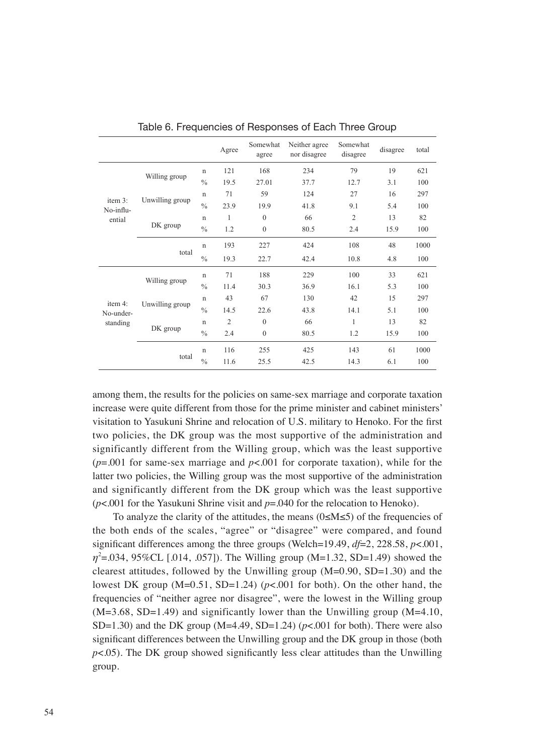|                      |                 |               | Agree          | Somewhat<br>agree | Neither agree<br>nor disagree | Somewhat<br>disagree | disagree | total |
|----------------------|-----------------|---------------|----------------|-------------------|-------------------------------|----------------------|----------|-------|
|                      |                 | $\mathbf n$   | 121            | 168               | 234                           | 79                   | 19       | 621   |
|                      | Willing group   | $\frac{0}{0}$ | 19.5           | 27.01             | 37.7                          | 12.7                 | 3.1      | 100   |
|                      |                 | $\mathbf n$   | 71             | 59                | 124                           | 27                   | 16       | 297   |
| item 3:<br>No-influ- | Unwilling group | $\frac{0}{0}$ | 23.9           | 19.9              | 41.8                          | 9.1                  | 5.4      | 100   |
| ential               |                 | $\mathbf n$   | 1              | $\theta$          | 66                            | $\overline{2}$       | 13       | 82    |
|                      | DK group        | $\frac{0}{0}$ | 1.2            | $\mathbf{0}$      | 80.5                          | 2.4                  | 15.9     | 100   |
|                      |                 | $\mathbf n$   | 193            | 227               | 424                           | 108                  | 48       | 1000  |
|                      | total           | $\frac{0}{0}$ | 19.3           | 22.7              | 42.4                          | 10.8                 | 4.8      | 100   |
|                      | Willing group   | $\mathbf n$   | 71             | 188               | 229                           | 100                  | 33       | 621   |
|                      |                 | $\frac{0}{0}$ | 11.4           | 30.3              | 36.9                          | 16.1                 | 5.3      | 100   |
| item 4:              |                 | $\mathsf{n}$  | 43             | 67                | 130                           | 42                   | 15       | 297   |
| No-under-            | Unwilling group | $\frac{0}{0}$ | 14.5           | 22.6              | 43.8                          | 14.1                 | 5.1      | 100   |
| standing             |                 | $\mathbf n$   | $\overline{2}$ | $\mathbf{0}$      | 66                            | 1                    | 13       | 82    |
|                      | DK group        | $\frac{0}{0}$ | 2.4            | $\mathbf{0}$      | 80.5                          | 1.2                  | 15.9     | 100   |
|                      |                 | $\mathsf{n}$  | 116            | 255               | 425                           | 143                  | 61       | 1000  |
|                      | total           | $\frac{0}{0}$ | 11.6           | 25.5              | 42.5                          | 14.3                 | 6.1      | 100   |

Table 6. Frequencies of Responses of Each Three Group

among them, the results for the policies on same-sex marriage and corporate taxation increase were quite different from those for the prime minister and cabinet ministers' visitation to Yasukuni Shrine and relocation of U.S. military to Henoko. For the first two policies, the DK group was the most supportive of the administration and significantly different from the Willing group, which was the least supportive  $(p=0.001)$  for same-sex marriage and  $p<0.001$  for corporate taxation), while for the latter two policies, the Willing group was the most supportive of the administration and significantly different from the DK group which was the least supportive (*p*<.001 for the Yasukuni Shrine visit and *p*=.040 for the relocation to Henoko).

To analyze the clarity of the attitudes, the means  $(0 \le M \le 5)$  of the frequencies of the both ends of the scales, "agree" or "disagree" were compared, and found significant differences among the three groups (Welch=19.49, *df*=2, 228.58, *p*<.001, *η*<sup>2</sup>=.034, 95%CL [.014, .057]). The Willing group (M=1.32, SD=1.49) showed the clearest attitudes, followed by the Unwilling group  $(M=0.90, SD=1.30)$  and the lowest DK group  $(M=0.51, SD=1.24)$  ( $p<0.001$  for both). On the other hand, the frequencies of "neither agree nor disagree", were the lowest in the Willing group  $(M=3.68, SD=1.49)$  and significantly lower than the Unwilling group  $(M=4.10,$ SD=1.30) and the DK group (M=4.49, SD=1.24) ( $p<0.001$  for both). There were also significant differences between the Unwilling group and the DK group in those (both  $p<.05$ ). The DK group showed significantly less clear attitudes than the Unwilling group.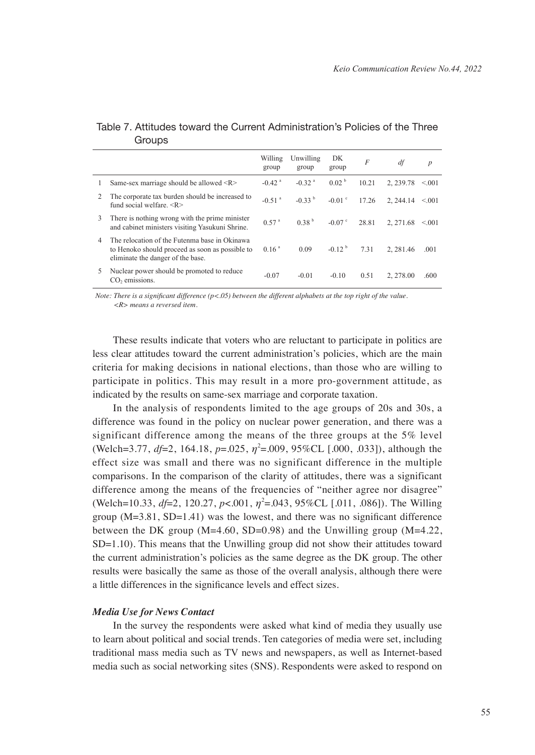|    |                                                                                                                                       | Willing<br>group     | Unwilling<br>group   | DK<br>group       | $\overline{F}$ | df       | $\boldsymbol{p}$ |
|----|---------------------------------------------------------------------------------------------------------------------------------------|----------------------|----------------------|-------------------|----------------|----------|------------------|
|    | Same-sex marriage should be allowed <r></r>                                                                                           | $-0.42$ <sup>a</sup> | $-0.32$ <sup>a</sup> | 0.02 <sup>b</sup> | 10.21          | 2.239.78 | < 001            |
| 2  | The corporate tax burden should be increased to<br>fund social welfare $\langle R \rangle$                                            | $-0.51$ <sup>a</sup> | $-0.33b$             | $-0.01$ °         | 17.26          | 2.244.14 | $\leq 0.01$      |
| 3  | There is nothing wrong with the prime minister<br>and cabinet ministers visiting Yasukuni Shrine.                                     | $0.57$ <sup>a</sup>  | 0.38 <sup>b</sup>    | $-0.07$ °         | 28.81          | 2.271.68 | < 001            |
| 4  | The relocation of the Futenma base in Okinawa<br>to Henoko should proceed as soon as possible to<br>eliminate the danger of the base. | 0.16 <sup>a</sup>    | 0.09                 | $-0.12b$          | 7.31           | 2.281.46 | .001             |
| 5. | Nuclear power should be promoted to reduce<br>$CO2$ emissions.                                                                        | $-0.07$              | $-0.01$              | $-0.10$           | 0.51           | 2.278.00 | .600             |

# Table 7. Attitudes toward the Current Administration's Policies of the Three **Groups**

*Note: There is a significant difference (p<.05) between the different alphabets at the top right of the value. <R> means a reversed item.*

These results indicate that voters who are reluctant to participate in politics are less clear attitudes toward the current administration's policies, which are the main criteria for making decisions in national elections, than those who are willing to participate in politics. This may result in a more pro-government attitude, as indicated by the results on same-sex marriage and corporate taxation.

In the analysis of respondents limited to the age groups of 20s and 30s, a difference was found in the policy on nuclear power generation, and there was a significant difference among the means of the three groups at the 5% level (Welch=3.77,  $df=2$ , 164.18,  $p=.025$ ,  $\eta^2=.009$ , 95%CL [.000, .033]), although the effect size was small and there was no significant difference in the multiple comparisons. In the comparison of the clarity of attitudes, there was a significant difference among the means of the frequencies of "neither agree nor disagree" (Welch=10.33, *df*=2, 120.27, *p*<.001,  $\eta^2$ =.043, 95%CL [.011, .086]). The Willing group  $(M=3.81, SD=1.41)$  was the lowest, and there was no significant difference between the DK group  $(M=4.60, SD=0.98)$  and the Unwilling group  $(M=4.22,$ SD=1.10). This means that the Unwilling group did not show their attitudes toward the current administration's policies as the same degree as the DK group. The other results were basically the same as those of the overall analysis, although there were a little differences in the significance levels and effect sizes.

#### *Media Use for News Contact*

In the survey the respondents were asked what kind of media they usually use to learn about political and social trends. Ten categories of media were set, including traditional mass media such as TV news and newspapers, as well as Internet-based media such as social networking sites (SNS). Respondents were asked to respond on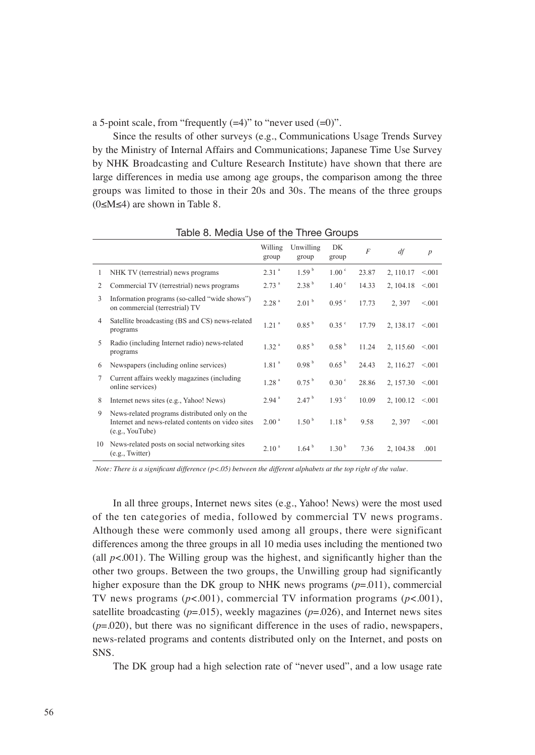a 5-point scale, from "frequently  $(=4)$ " to "never used  $(=0)$ ".

Since the results of other surveys (e.g., Communications Usage Trends Survey by the Ministry of Internal Affairs and Communications; Japanese Time Use Survey by NHK Broadcasting and Culture Research Institute) have shown that there are large differences in media use among age groups, the comparison among the three groups was limited to those in their 20s and 30s. The means of the three groups (0≤M≤4) are shown in Table 8.

|              |                                                                                                                       | Willing<br>group    | Unwilling<br>group | DK<br>group       | $\overline{F}$ | df                     | $\boldsymbol{p}$ |
|--------------|-----------------------------------------------------------------------------------------------------------------------|---------------------|--------------------|-------------------|----------------|------------------------|------------------|
| 1            | NHK TV (terrestrial) news programs                                                                                    | 2.31 <sup>a</sup>   | 1.59 <sup>b</sup>  | 1.00 <sup>c</sup> | 23.87          | 2, 110.17              | < 0.01           |
| 2            | Commercial TV (terrestrial) news programs                                                                             | 2.73 <sup>a</sup>   | 2.38 <sup>b</sup>  | $1.40^{\circ}$    | 14.33          | 2, 104.18              | < 0.01           |
| $\mathbf{3}$ | Information programs (so-called "wide shows")<br>on commercial (terrestrial) TV                                       | 2.28 <sup>a</sup>   | 2.01 <sup>b</sup>  | 0.95 °            | 17.73          | 2,397                  | < 0.01           |
| 4            | Satellite broadcasting (BS and CS) news-related<br>programs                                                           | $1.21$ <sup>a</sup> | 0.85 <sup>b</sup>  | $0.35$ °          | 17.79          | $2, 138.17 \le 0.001$  |                  |
| 5            | Radio (including Internet radio) news-related<br>programs                                                             | 1.32 <sup>a</sup>   | 0.85 <sup>b</sup>  | 0.58 <sup>b</sup> | 11.24          | 2, 115.60 $\leq 0.001$ |                  |
| 6            | Newspapers (including online services)                                                                                | 1.81 <sup>a</sup>   | 0.98 <sup>b</sup>  | $0.65^{b}$        | 24.43          | 2, 116.27              | < 0.01           |
| 7            | Current affairs weekly magazines (including<br>online services)                                                       | 1.28 <sup>a</sup>   | 0.75 <sup>b</sup>  | 0.30 <sup>c</sup> | 28.86          | 2, 157.30              | < 0.01           |
| 8            | Internet news sites (e.g., Yahoo! News)                                                                               | 2.94 <sup>a</sup>   | 2.47 <sup>b</sup>  | 1.93 <sup>c</sup> | 10.09          | 2, 100.12              | < 0.01           |
| 9            | News-related programs distributed only on the<br>Internet and news-related contents on video sites<br>(e.g., YouTube) | 2.00 <sup>a</sup>   | 1.50 <sup>b</sup>  | 1.18 <sup>b</sup> | 9.58           | 2.397                  | < 001            |
| 10           | News-related posts on social networking sites<br>(e.g., Twitter)                                                      | 2.10 <sup>a</sup>   | 1.64 <sup>b</sup>  | 1.30 <sup>b</sup> | 7.36           | 2, 104.38              | .001             |

Table 8. Media Use of the Three Groups

*Note: There is a significant difference (p<.05) between the different alphabets at the top right of the value.*

In all three groups, Internet news sites (e.g., Yahoo! News) were the most used of the ten categories of media, followed by commercial TV news programs. Although these were commonly used among all groups, there were significant differences among the three groups in all 10 media uses including the mentioned two (all  $p<.001$ ). The Willing group was the highest, and significantly higher than the other two groups. Between the two groups, the Unwilling group had significantly higher exposure than the DK group to NHK news programs (*p*=.011), commercial TV news programs  $(p<.001)$ , commercial TV information programs  $(p<.001)$ , satellite broadcasting  $(p=.015)$ , weekly magazines  $(p=.026)$ , and Internet news sites  $(p=0.020)$ , but there was no significant difference in the uses of radio, newspapers, news-related programs and contents distributed only on the Internet, and posts on SNS.

The DK group had a high selection rate of "never used", and a low usage rate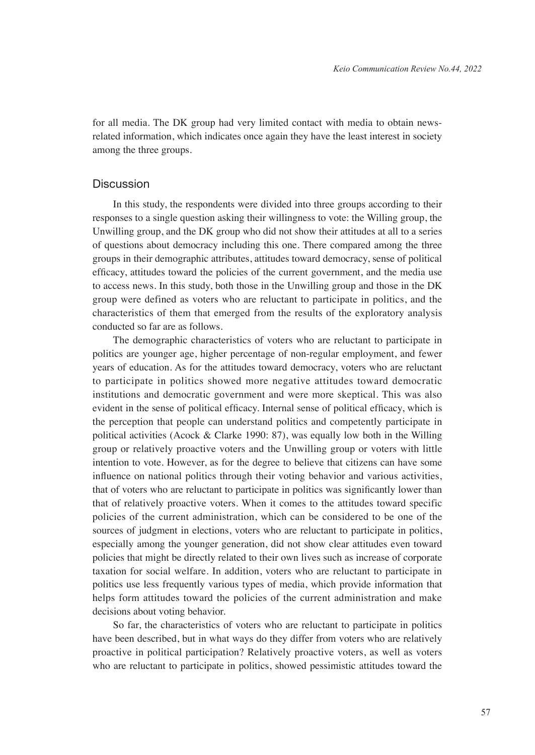for all media. The DK group had very limited contact with media to obtain newsrelated information, which indicates once again they have the least interest in society among the three groups.

# Discussion

In this study, the respondents were divided into three groups according to their responses to a single question asking their willingness to vote: the Willing group, the Unwilling group, and the DK group who did not show their attitudes at all to a series of questions about democracy including this one. There compared among the three groups in their demographic attributes, attitudes toward democracy, sense of political efficacy, attitudes toward the policies of the current government, and the media use to access news. In this study, both those in the Unwilling group and those in the DK group were defined as voters who are reluctant to participate in politics, and the characteristics of them that emerged from the results of the exploratory analysis conducted so far are as follows.

The demographic characteristics of voters who are reluctant to participate in politics are younger age, higher percentage of non-regular employment, and fewer years of education. As for the attitudes toward democracy, voters who are reluctant to participate in politics showed more negative attitudes toward democratic institutions and democratic government and were more skeptical. This was also evident in the sense of political efficacy. Internal sense of political efficacy, which is the perception that people can understand politics and competently participate in political activities (Acock & Clarke 1990: 87), was equally low both in the Willing group or relatively proactive voters and the Unwilling group or voters with little intention to vote. However, as for the degree to believe that citizens can have some influence on national politics through their voting behavior and various activities, that of voters who are reluctant to participate in politics was significantly lower than that of relatively proactive voters. When it comes to the attitudes toward specific policies of the current administration, which can be considered to be one of the sources of judgment in elections, voters who are reluctant to participate in politics, especially among the younger generation, did not show clear attitudes even toward policies that might be directly related to their own lives such as increase of corporate taxation for social welfare. In addition, voters who are reluctant to participate in politics use less frequently various types of media, which provide information that helps form attitudes toward the policies of the current administration and make decisions about voting behavior.

So far, the characteristics of voters who are reluctant to participate in politics have been described, but in what ways do they differ from voters who are relatively proactive in political participation? Relatively proactive voters, as well as voters who are reluctant to participate in politics, showed pessimistic attitudes toward the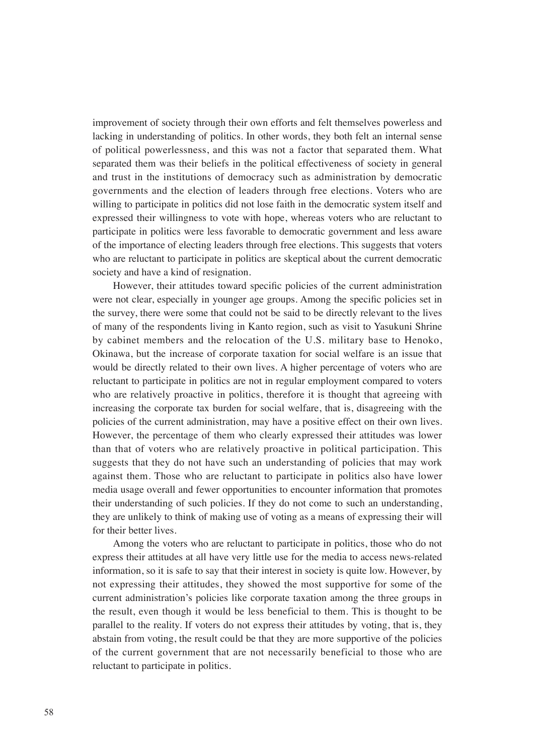improvement of society through their own efforts and felt themselves powerless and lacking in understanding of politics. In other words, they both felt an internal sense of political powerlessness, and this was not a factor that separated them. What separated them was their beliefs in the political effectiveness of society in general and trust in the institutions of democracy such as administration by democratic governments and the election of leaders through free elections. Voters who are willing to participate in politics did not lose faith in the democratic system itself and expressed their willingness to vote with hope, whereas voters who are reluctant to participate in politics were less favorable to democratic government and less aware of the importance of electing leaders through free elections. This suggests that voters who are reluctant to participate in politics are skeptical about the current democratic society and have a kind of resignation.

However, their attitudes toward specific policies of the current administration were not clear, especially in younger age groups. Among the specific policies set in the survey, there were some that could not be said to be directly relevant to the lives of many of the respondents living in Kanto region, such as visit to Yasukuni Shrine by cabinet members and the relocation of the U.S. military base to Henoko, Okinawa, but the increase of corporate taxation for social welfare is an issue that would be directly related to their own lives. A higher percentage of voters who are reluctant to participate in politics are not in regular employment compared to voters who are relatively proactive in politics, therefore it is thought that agreeing with increasing the corporate tax burden for social welfare, that is, disagreeing with the policies of the current administration, may have a positive effect on their own lives. However, the percentage of them who clearly expressed their attitudes was lower than that of voters who are relatively proactive in political participation. This suggests that they do not have such an understanding of policies that may work against them. Those who are reluctant to participate in politics also have lower media usage overall and fewer opportunities to encounter information that promotes their understanding of such policies. If they do not come to such an understanding, they are unlikely to think of making use of voting as a means of expressing their will for their better lives.

Among the voters who are reluctant to participate in politics, those who do not express their attitudes at all have very little use for the media to access news-related information, so it is safe to say that their interest in society is quite low. However, by not expressing their attitudes, they showed the most supportive for some of the current administration's policies like corporate taxation among the three groups in the result, even though it would be less beneficial to them. This is thought to be parallel to the reality. If voters do not express their attitudes by voting, that is, they abstain from voting, the result could be that they are more supportive of the policies of the current government that are not necessarily beneficial to those who are reluctant to participate in politics.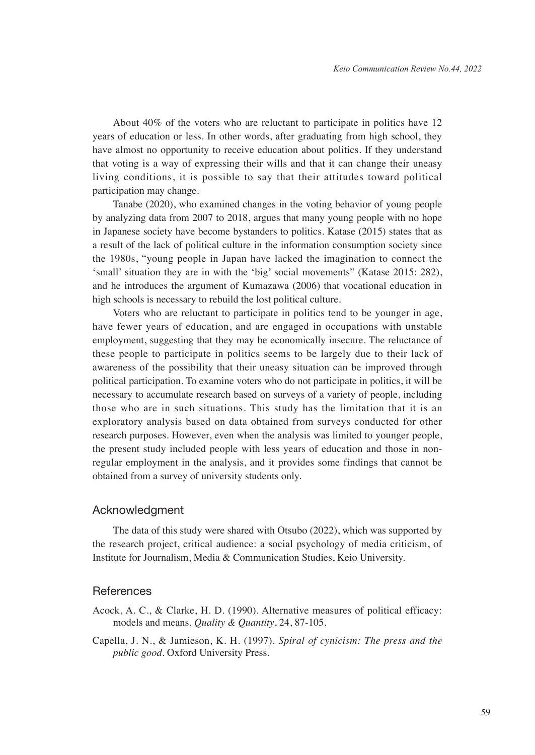About 40% of the voters who are reluctant to participate in politics have 12 years of education or less. In other words, after graduating from high school, they have almost no opportunity to receive education about politics. If they understand that voting is a way of expressing their wills and that it can change their uneasy living conditions, it is possible to say that their attitudes toward political participation may change.

Tanabe (2020), who examined changes in the voting behavior of young people by analyzing data from 2007 to 2018, argues that many young people with no hope in Japanese society have become bystanders to politics. Katase (2015) states that as a result of the lack of political culture in the information consumption society since the 1980s, "young people in Japan have lacked the imagination to connect the 'small' situation they are in with the 'big' social movements" (Katase 2015: 282), and he introduces the argument of Kumazawa (2006) that vocational education in high schools is necessary to rebuild the lost political culture.

Voters who are reluctant to participate in politics tend to be younger in age, have fewer years of education, and are engaged in occupations with unstable employment, suggesting that they may be economically insecure. The reluctance of these people to participate in politics seems to be largely due to their lack of awareness of the possibility that their uneasy situation can be improved through political participation. To examine voters who do not participate in politics, it will be necessary to accumulate research based on surveys of a variety of people, including those who are in such situations. This study has the limitation that it is an exploratory analysis based on data obtained from surveys conducted for other research purposes. However, even when the analysis was limited to younger people, the present study included people with less years of education and those in nonregular employment in the analysis, and it provides some findings that cannot be obtained from a survey of university students only.

# Acknowledgment

The data of this study were shared with Otsubo (2022), which was supported by the research project, critical audience: a social psychology of media criticism, of Institute for Journalism, Media & Communication Studies, Keio University.

#### References

- Acock, A. C., & Clarke, H. D. (1990). Alternative measures of political efficacy: models and means. *Quality & Quantity*, 24, 87-105.
- Capella, J. N., & Jamieson, K. H. (1997). *Spiral of cynicism: The press and the public good*. Oxford University Press.